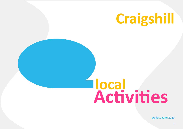

## **Activities local**

**Update June 2020**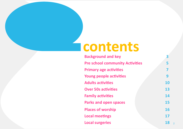## **contents**

| <b>Background and key</b>              |           |
|----------------------------------------|-----------|
| <b>Pre school community Activities</b> | 5         |
| <b>Primary age activities</b>          | 7         |
| Young people activities                | 9         |
| <b>Adults activities</b>               | <b>10</b> |
| <b>Over 50s activities</b>             | 13        |
| <b>Family activities</b>               | 14        |
| <b>Parks and open spaces</b>           | 15        |
| <b>Places of worship</b>               | 16        |
| <b>Local meetings</b>                  | 17        |
| <b>Local surgeries</b>                 | 18        |

2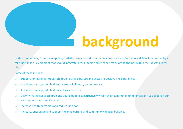# **background**

Within the findings, from the mapping, statistical analysis and community consultation; affordable activities for community to take part in is a key element that should integrate into, support and enhance many of the themes within the Craigshill local plan.

Some of these include:

- $\Rightarrow$  Support for learning through children having exposure and access to positive life experiences
- $\Rightarrow$  Activities that support children's learning in literacy and numeracy
- $\Rightarrow$  Activities that support children's physical activity
- $\Rightarrow$  activity that engages children and young people constructively within their community to minimise anti social behaviour and support them feel included.
- $\Rightarrow$  Increase health outcomes and reduce isolation
- $\Rightarrow$  Increase, encourage and support life long learning and community capacity building.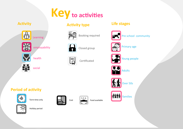

**Activity type**

#### **Activity**





employability













**Figure 3**<br>Booking required



Closed group

Certificated

**Life stages** 





Primary age



Young people







**Period of activity** 



Term time only Cost





Food available



Holiday period





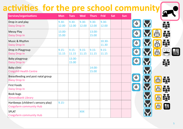### **activities for the pre school community**

| Services/organisations                                                 | <b>Mon</b>        | <b>Tues</b>       | <b>Wed</b>        | <b>Thurs</b>      | <b>Frid</b>       | <b>Sat</b> | <b>Sun</b> |                                                          |               |                   |  |
|------------------------------------------------------------------------|-------------------|-------------------|-------------------|-------------------|-------------------|------------|------------|----------------------------------------------------------|---------------|-------------------|--|
| Drop in and play<br>Daisy Drop In                                      | $9.30 -$<br>12.00 | $9.30 -$<br>12.00 | $9.30 -$<br>12.00 | $9.30 -$<br>12.00 | $9.30 -$<br>12.00 |            |            | -ଡ                                                       |               |                   |  |
| <b>Messy Play</b><br>Daisy Drop In                                     | 13.00-<br>15.00   |                   |                   | 13.00-<br>15.00   |                   |            |            | -ଡ                                                       |               | 239               |  |
| Music & Rhythm<br>Daisy Drop In                                        |                   |                   |                   |                   | 10.30-<br>11.30   |            |            | <b>1000</b>                                              | န္            | 939               |  |
| Drop in Playgroup<br>Daisy Drop In                                     | $9.15 -$<br>11.15 | $9.15 -$<br>11.15 | $9.15 -$<br>11.15 | $9.15 -$<br>11.15 | $9.15 -$<br>11.15 |            |            | ୍<br>-ଡି                                                 | $\beta$       | $\frac{111}{111}$ |  |
| Baby playgroup<br>Daisy Drop In                                        |                   | 13.00-<br>15.00   |                   |                   |                   |            |            | -®<br>—                                                  |               | D O<br>939        |  |
| Baby clinic<br><b>Craigshill Health Centre</b>                         |                   |                   |                   | 14.00-<br>15.00   |                   |            |            |                                                          |               |                   |  |
| Breastfeeding and post natal group<br>Daisy Drop In                    |                   |                   |                   |                   |                   |            |            | $\bullet$ )                                              |               |                   |  |
| <b>First Foods</b><br>Daisy Drop In                                    |                   |                   |                   |                   |                   |            |            | $\begin{pmatrix} -1 & 1 \\ 1 & 1 \\ 1 & 1 \end{pmatrix}$ | <b>R</b>      |                   |  |
| Book bugs<br><b>Almondbank Library</b>                                 |                   |                   |                   |                   |                   |            |            |                                                          | န္မ           |                   |  |
| Hartbeeps (children's sensory play)<br><b>Craigsfarm community Hub</b> | $9.15 -$          |                   |                   |                   |                   |            |            |                                                          | $\frac{1}{2}$ | 閣                 |  |
| <b>SPLAT</b><br><b>Craigsfarm community Hub</b>                        |                   |                   | <b>XXX</b>        |                   |                   |            |            |                                                          |               |                   |  |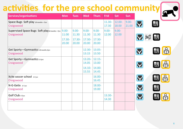#### **activities for the pre school community**

| $\boldsymbol{G}$ |
|------------------|
|                  |

| Services/organisations                                      | <b>Mon</b>                           | <b>Tues</b>                          | <b>Wed</b>                              | <b>Thurs</b>                                     | <b>Frid</b>       | Sat               | <b>Sun</b>        |                  |
|-------------------------------------------------------------|--------------------------------------|--------------------------------------|-----------------------------------------|--------------------------------------------------|-------------------|-------------------|-------------------|------------------|
| Space Bugs Soft play 18 months-7yrs<br>Craigswood           |                                      |                                      |                                         |                                                  | 11.30-<br>17.30   | 12.00-<br>18.00   | $9.00 -$<br>21.00 |                  |
| Supervised Space Bugs Soft play18 months-7yrs<br>Craigswood | $9.00 -$<br>11.00<br>17.30-<br>20.00 | $9.00 -$<br>11.30<br>17.30-<br>20.00 | $9.00 -$<br>11.30<br>$17.30 -$<br>20.00 | $9.00 -$<br>11.30<br>$17.30 -$<br>20.00          | $9.00 -$<br>12.00 | $9.00 -$<br>12.00 |                   | 又解毒              |
| Get Sporty-Gymnastics 18 months-3yrs<br>Craigswood          |                                      |                                      | 12.30-<br>13.15                         | $13.05 -$<br>13.50                               |                   |                   |                   |                  |
| Get Sporty-Gymnastics 3-5yrs<br>Craigswood                  |                                      |                                      | $13.20 -$<br>14.05<br>15.55             | $12.15 -$<br>13.00<br>$14.10 - 14.00 -$<br>14.45 |                   |                   |                   | 8<br><b>BEER</b> |
| Xcite soccer school 3-5 yrs<br>Craigswood                   |                                      |                                      |                                         | 16.00-<br>16.45                                  |                   |                   |                   | 国的               |
| N-G-Getix 3-7 yrs<br>Craigswood                             |                                      |                                      |                                         | 18.00-<br>19.00                                  |                   |                   |                   | 呦                |
| Golf Club 4-7yrs<br>Craigswood                              |                                      |                                      |                                         |                                                  | 13.30-<br>14.30   |                   |                   | <b>Pal</b>       |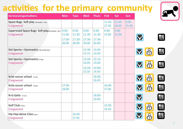### **activities for the primary community**



| Services/organisations                                      | <b>Mon</b>                              | <b>Tues</b>                          | <b>Wed</b>                           | <b>Thurs</b>                          | <b>Frid</b>       | <b>Sat</b>        | <b>Sun</b>        |           |  |
|-------------------------------------------------------------|-----------------------------------------|--------------------------------------|--------------------------------------|---------------------------------------|-------------------|-------------------|-------------------|-----------|--|
| Space Bugs Soft play 18 months-7yrs<br>Craigswood           |                                         |                                      |                                      |                                       | 11.30-<br>17.30   | 12.00-<br>18.00   | $9.00 -$<br>21.00 |           |  |
| Supervised Space Bugs Soft play18 months-7yrs<br>Craigswood | $9.00 -$<br>11.00<br>$17.30 -$<br>20.00 | $9.00 -$<br>11.30<br>17.30-<br>20.00 | $9.00 -$<br>11.30<br>17.30-<br>20.00 | $9.00 -$<br>11.30<br>17.30-<br>20.00  | $9.00 -$<br>12.00 | $9.00 -$<br>12.00 |                   |           |  |
| Get Sporty-Gymnastics 18 months-3yrs<br>Craigswood          |                                         |                                      | 12.30-<br>13.15                      | $13.05 -$<br>13.50                    |                   |                   |                   |           |  |
| Get Sporty-Gymnastics 3-5yrs<br>Craigswood                  |                                         |                                      | 13.20-<br>14.05<br>14.10-<br>15.55   | $12.15 -$<br>13.00<br>14.00-<br>14.45 |                   |                   |                   |           |  |
| Xcite soccer school 3-5 yrs<br>Craigswood                   |                                         |                                      |                                      | 16.00-<br>16.45                       |                   |                   |                   | န္        |  |
| Xcite soccer school 5-8 yrs<br>Craigswood                   | 17.00-<br>18.00                         |                                      |                                      |                                       | 16.00-<br>17.00   |                   |                   |           |  |
| N-G-Getix 3-7 yrs<br>Craigswood                             |                                         |                                      |                                      | 18.00-<br>19.00                       |                   |                   |                   |           |  |
| Golf Club 4-7yrs<br>Craigswood                              |                                         |                                      |                                      |                                       | 13.30-<br>14.30   |                   |                   | <b>PA</b> |  |
| Hip Hop dance Class <sub>5yrs +</sub><br>Craigswood         |                                         | $16.45 -$<br>17.45                   |                                      |                                       |                   |                   |                   |           |  |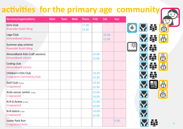#### 8 **Services/organisations Mon Tues Wed Thurs Frid Sat Sun** Girls Club Riverside Youth Wing 17.30- 19.30 Lego Club Almondbank Library 10.00- 11.00 Summer play scheme Riverside Youth Wing Almondbank Kids Craft sessions Almondbank Library 14.00- 15.00 Coding club Almondbank Library Children's Film Club Craigsfarm Community Hub 13.30- 15.30 Golf Club *8-11yrs* **Craigswood** 14.30- 15.30 Xcite soccer centre *5-6yrs* Craigswood 15.00- 16.00 N-R-G Active *8-11yrs* Craigswood 13.00- 14.00 N-R-Getrix *5-7yrs* **Craigswood** 14.00- 15.00 Junior Park Run Craigswood Xcite 9.30 **activities for the primary age community**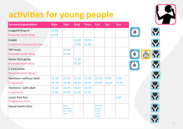| Services/organisations                            | <b>Mon</b> | <b>Tues</b>                          | <b>Wed</b> | <b>Thurs</b> | <b>Frid</b>                                 | <b>Sat</b> | <b>Sun</b> |
|---------------------------------------------------|------------|--------------------------------------|------------|--------------|---------------------------------------------|------------|------------|
| Craigshill Drop In                                | 18.00-     |                                      |            |              |                                             |            |            |
| <b>Riverside Youth Wing</b>                       | 20.00      |                                      |            |              |                                             |            |            |
| Enable                                            |            |                                      | $10.00 -$  | $10.00 -$    |                                             |            |            |
| <b>Craigsfarm Community Hub</b>                   |            |                                      | 15.00      | 15.00        |                                             |            |            |
| <b>YAP music</b>                                  |            | 18.30-                               |            |              |                                             |            |            |
| <b>Riverside Youth Wing</b>                       |            | 21.00                                |            |              |                                             |            |            |
| Senior Girls group                                |            |                                      | 17.30-     |              |                                             |            |            |
| <b>Riverside Youth Wing</b>                       |            |                                      | 19.30      |              |                                             |            |            |
| C Card outlet                                     |            |                                      |            |              |                                             |            |            |
| <b>Riverside Youth Wing?</b>                      |            |                                      |            |              |                                             |            |            |
| Teentone-without adult                            | 15.30-     | 15.30-                               | 15.30-     | 15.30-       | 12.30-                                      | $9.00 -$   | $9.00 -$   |
| Craigswood                                        | 18.30      | 18.30                                | 18.30      | 18.30        | 22.00                                       | 18.00      | 21.00      |
| Teentone-with adult                               | 18.30-     | 18.30-                               | 18.30-     | 18.30-       |                                             |            |            |
| Craigswood                                        | 21.00      | 22.00                                | 22.00      | 22.00        |                                             |            |            |
| <b>Junior Park Run</b><br><b>Craigswood Xcite</b> |            |                                      |            |              |                                             |            | 9.30       |
| Sexual health Clinic                              |            | Inver-<br>almond<br>HS-lunch<br>time |            |              | Howden<br><b>Health</b><br>Centre<br>13.30- |            |            |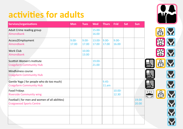#### **activities for adults**

| Services/organisations                                                           | <b>Mon</b>        | <b>Tues</b>        | <b>Wed</b>      | <b>Thurs</b>      | <b>Frid</b>       | Sat | Sun            |                   |
|----------------------------------------------------------------------------------|-------------------|--------------------|-----------------|-------------------|-------------------|-----|----------------|-------------------|
| Adult Crime reading group<br>Almondbank                                          |                   |                    | 15.00-<br>16.00 |                   |                   |     |                |                   |
| Access2Employment<br>Almondbank                                                  | $9.00 -$<br>17.00 | $9.00 -$<br>17.00  | 13.00-<br>17.00 | $9.00 -$<br>17.00 | $9.00 -$<br>16.00 |     |                |                   |
| <b>Work Club</b><br><b>Almondbank</b>                                            |                   | $10.00 -$<br>13.00 |                 |                   |                   |     |                |                   |
| Scottish Women's Institute<br><b>Craigsfarm Community Hub</b>                    |                   |                    | 19.00-<br>21.00 |                   |                   |     |                |                   |
| Mindfulness course<br><b>Craigsfarm Community Hub</b>                            |                   |                    |                 |                   |                   |     |                |                   |
| Gentle Yoga (for people who do too much)<br><b>Craigsfarm Community Hub</b>      |                   |                    |                 | $9.45 -$<br>11.am |                   |     |                |                   |
| <b>Food Fridays</b><br><b>Riverside Community wing</b>                           |                   |                    |                 |                   | 10.00-<br>12.30   |     |                | $\frac{111}{111}$ |
| Football (for men and women of all abilities)<br><b>Craigswood Sports Centre</b> |                   |                    |                 |                   |                   |     | 19.00<br>20.00 |                   |
|                                                                                  |                   |                    |                 |                   |                   |     |                |                   |
|                                                                                  |                   |                    |                 |                   |                   |     |                |                   |

W  $\bigcirc$   $\bigcirc$ ※又  $\beta$ Y  $\beta$ **NN** 

10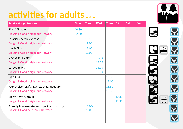#### **activities for adults continued**

| <b>Services/organisations</b>                                     | <b>Mon</b> | <b>Tues</b> | <b>Wed</b> | <b>Thurs</b> | Frid   | <b>Sat</b> | <b>Sun</b> |
|-------------------------------------------------------------------|------------|-------------|------------|--------------|--------|------------|------------|
| Pins & Needles                                                    | $10.30 -$  |             |            |              |        |            |            |
| <b>Craigshill Good Neighbour Network</b>                          | 12.00      |             |            |              |        |            |            |
| Paracise (gentle exercise)                                        |            | $10.15 -$   |            |              |        |            |            |
| <b>Craigshill Good Neighbour Network</b>                          |            | 11.00       |            |              |        |            |            |
| Lunch Club                                                        |            | 12.00-      |            |              |        |            |            |
| <b>Craigshill Good Neighbour Network</b>                          |            | 15.00       |            |              |        |            |            |
| Singing for Health                                                |            |             | 10.30-     |              |        |            |            |
| <b>Craigshill Good Neighbour Network</b>                          |            |             | 12.00      |              |        |            |            |
| <b>Carpet Bowls</b>                                               |            |             | 13.00-     |              |        |            |            |
| <b>Craigshill Good Neighbour Network</b>                          |            |             | 15.00      |              |        |            |            |
| <b>Craft Club</b>                                                 |            |             |            | 10.30-       |        |            |            |
| <b>Craigshill Good Neighbour Network</b>                          |            |             |            | 12.00        |        |            |            |
| Your choice (crafts, games, chat, meet up)                        |            |             |            | 13.30-       |        |            |            |
| <b>Craigshill Good Neighbour Network</b>                          |            |             |            | 15.30        |        |            |            |
| Men's Activity group                                              |            |             |            |              | 10.30- |            |            |
| <b>Craigshill Good Neighbour Network</b>                          |            |             |            |              | 12.30  |            |            |
| Friendly Forces-veteran project 1st and last Tuesday of the month |            | 18.00-      |            |              |        |            |            |
| Craigshill Good neighbour Network                                 |            | 20.00       |            |              |        |            |            |



IER

11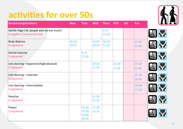#### **activities for over 50s**

| activities for over 50s                                                     |                    |                                    |                    |                    |                    |     |                 |                      |
|-----------------------------------------------------------------------------|--------------------|------------------------------------|--------------------|--------------------|--------------------|-----|-----------------|----------------------|
| Services/organisations                                                      | <b>Mon</b>         | <b>Tues</b>                        | <b>Wed</b>         | <b>Thurs</b>       | <b>Frid</b>        | Sat | Sun             |                      |
| Gentle Yoga (for people who do too much)<br><b>Craigsfarm Community Hub</b> |                    |                                    |                    | $9.45 -$<br>11.am  |                    |     |                 |                      |
| <b>Body Balance</b><br>Craigswood                                           | $20.10 -$<br>20.55 |                                    | $20.05 -$<br>20.50 | $10.10 -$<br>11.10 |                    |     | 11.30-<br>12.30 |                      |
| <b>Gentle Exercise</b><br>Craigswood                                        |                    | $9.15 -$<br>11.00                  |                    |                    |                    |     |                 |                      |
| Line dancing-beginners/high/absolute<br>Craigswood                          |                    |                                    | $10.30 -$<br>11.30 |                    | $10.30 -$<br>11.30 |     | 14.30-<br>15.30 |                      |
| Line dancing-improver<br>Craigswood                                         |                    |                                    |                    |                    |                    |     | 15.30-<br>16.30 |                      |
| Line dancing-intermediate<br>Craigswood                                     |                    |                                    |                    |                    |                    |     | 16.30-<br>17.30 |                      |
| Paracise<br>Craigswood                                                      |                    |                                    | 11.30-<br>12.30    |                    |                    |     |                 | $\sim$ $\sim$ $\sim$ |
| Pilates<br>Craigswood                                                       |                    | 18.30-<br>19.30<br>19.40-<br>20.40 | 12.30-<br>13.15    |                    |                    |     |                 |                      |

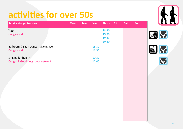#### **activities for over 50s**

| Services/organisations                                  | <b>Mon</b> | <b>Tues</b> | <b>Wed</b>         | <b>Thurs</b>                       | <b>Frid</b> | Sat | Sun | <u> 11</u>            |
|---------------------------------------------------------|------------|-------------|--------------------|------------------------------------|-------------|-----|-----|-----------------------|
| Yoga<br>Craigswood                                      |            |             |                    | 18.30-<br>19.30<br>19.40-<br>20.40 |             |     |     | Y                     |
| Ballroom & Latin Dance-ageing well<br>Craigswood        |            |             | 15.30-<br>16.30    |                                    |             |     |     | Y                     |
| Singing for health<br>Craigshill Good neighbour network |            |             | $10.30 -$<br>12.00 |                                    |             |     |     | $\boldsymbol{\nabla}$ |
|                                                         |            |             |                    |                                    |             |     |     |                       |
|                                                         |            |             |                    |                                    |             |     |     |                       |
|                                                         |            |             |                    |                                    |             |     |     |                       |
|                                                         |            |             |                    |                                    |             |     |     |                       |
|                                                         |            |             |                    |                                    |             |     |     |                       |

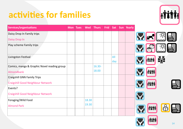#### **activities for families**



| Services/organisations                      | <b>Mon</b> | <b>Tues</b> | <b>Wed</b> | <b>Thurs</b> | Frid | Sat        | Sun Yearly |  |  |
|---------------------------------------------|------------|-------------|------------|--------------|------|------------|------------|--|--|
| Daisy Drop In Family trips                  |            |             |            |              |      |            |            |  |  |
| Daisy Drop In                               |            |             |            |              |      |            |            |  |  |
| Play scheme Family trips                    |            |             |            |              |      |            |            |  |  |
| Livingston Festival                         |            |             |            |              |      | All<br>day |            |  |  |
| Comics, manga & Graphic Novel reading group |            |             |            | 16.30-       |      |            |            |  |  |
| Almondbank                                  |            |             |            | 18.00        |      |            |            |  |  |
| <b>Craigshill GNN Family Trips</b>          |            |             |            |              |      |            |            |  |  |
| <b>Craigshill Good Neighbour Network</b>    |            |             |            |              |      |            |            |  |  |
| Events?                                     |            |             |            |              |      |            |            |  |  |
| <b>Craigshill Good Neighbour Network</b>    |            |             |            |              |      |            |            |  |  |
| Foraging/Wild Food                          |            |             | 18.30      |              |      |            |            |  |  |
| <b>Almond Park</b>                          |            |             | 19.30      |              |      |            |            |  |  |
|                                             |            |             |            |              |      |            |            |  |  |

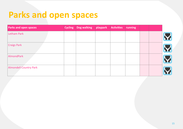#### **Parks and open spaces**

| <b>Parks and open spaces</b>  | <b>Cycling</b> | Dog walking | playpark | <b>Activities</b> | running |  |  |
|-------------------------------|----------------|-------------|----------|-------------------|---------|--|--|
| Letham Park                   |                |             |          |                   |         |  |  |
| <b>Craigs Park</b>            |                |             |          |                   |         |  |  |
| AlmondPark                    |                |             |          |                   |         |  |  |
| <b>Almondell Country Park</b> |                |             |          |                   |         |  |  |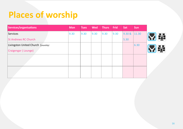#### **Places of worship**

| Services/organisations             | <b>Mon</b> | <b>Tues</b> | <b>Wed</b> | Thurs | <b>Frid</b> | Sat    | <b>Sun</b> |    |
|------------------------------------|------------|-------------|------------|-------|-------------|--------|------------|----|
| Services                           | 9.30       | 9.30        | 9.30       | 9.30  | 9.30        | 9.30 & | 11.30      |    |
| <b>St Andrews RC Church</b>        |            |             |            |       |             | 5.30   |            | 20 |
| Livingston United Church (monthly) |            |             |            |       |             |        | 6.30       |    |
| Craigengar (Lounge)                |            |             |            |       |             |        |            | 33 |
|                                    |            |             |            |       |             |        |            |    |
|                                    |            |             |            |       |             |        |            |    |
|                                    |            |             |            |       |             |        |            |    |
|                                    |            |             |            |       |             |        |            |    |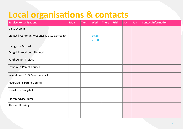#### **Local organisations & contacts**

| Services/organisations                             | <b>Mon</b> | <b>Tues</b> | <b>Wed</b> | <b>Thurs</b> | Frid | Sat | Sun | <b>Contact information</b> |
|----------------------------------------------------|------------|-------------|------------|--------------|------|-----|-----|----------------------------|
| Daisy Drop In                                      |            |             |            |              |      |     |     |                            |
| Craigshill Community Council (2nd wed every month) |            |             | $19.15 -$  |              |      |     |     |                            |
|                                                    |            |             | 21.00      |              |      |     |     |                            |
| Livingston Festival                                |            |             |            |              |      |     |     |                            |
| Craigshill Neighbour Network                       |            |             |            |              |      |     |     |                            |
| Youth Action Project                               |            |             |            |              |      |     |     |                            |
| Letham PS Parent Council                           |            |             |            |              |      |     |     |                            |
| <b>Inveralmond CHS Parent council</b>              |            |             |            |              |      |     |     |                            |
| Riverside PS Parent Council                        |            |             |            |              |      |     |     |                            |
| <b>Transform Craigshill</b>                        |            |             |            |              |      |     |     |                            |
| Citizen Advice Bureau                              |            |             |            |              |      |     |     |                            |
| <b>Almond Housing</b>                              |            |             |            |              |      |     |     |                            |
|                                                    |            |             |            |              |      |     |     |                            |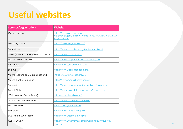#### **Useful websites**

| Services/organisations                 | <b>Website</b>                                                                                           |
|----------------------------------------|----------------------------------------------------------------------------------------------------------|
| Clear your head                        | https://clearyourhead.scot/?<br>gclid=EAlalQobChMIsaWT9Mma6glVB7TtCh3IYQPyEAAYASA<br><b>AEglaZfD BwE</b> |
| <b>Breathing space</b>                 | https://breathingspace.scot/                                                                             |
| Samaritans                             | https://www.samaritans.org/?nation=scotland                                                              |
| SAMH (Scotland's mental health charity | https://www.samh.org.uk/                                                                                 |
| Support in mind Scotland               | https://www.supportinmindscotland.org.uk/                                                                |
| Penumbra                               | https://www.penumbra.org.uk/                                                                             |
| See me                                 | https://www.seemescotland.org/                                                                           |
| Mental welfare commission Scotland     | https://www.mwcscot.org.uk/                                                                              |
| Mental health Foundation               | https://www.mentalhealth.org.uk/                                                                         |
| Young Scot                             | https://young.scot/campaigns/national/coronavirus                                                        |
| <b>Parent Club</b>                     | https://www.parentclub.scot/topics/coronavirus                                                           |
| VOX (Voices of experience)             | http://voxscotland.org.uk/                                                                               |
| Scottish Recovery Network              | https://www.scottishrecovery.net/                                                                        |
| Mind Yer Time                          | https://mindyertime.scot/                                                                                |
| The Spark                              | https://www.thespark.org.uk/                                                                             |
| LGBT health & wellbeing                | https://www.lgbthealth.org.uk/                                                                           |
| Quit your way                          | https://www.nhsinform.scot/campaigns/quit-your-way-<br>scotland                                          |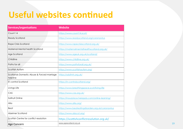#### **Useful websites continued**

| Services/organisations                                 | <b>Website</b>                                     |
|--------------------------------------------------------|----------------------------------------------------|
| Count 14                                               | https://www.count14.scot/                          |
| <b>Ready Scotland</b>                                  | https://www.readyscotland.org/coronavirus          |
| Rape Crisis Scotland                                   | https://www.rapecrisisscotland.org.uk/             |
| Maternal Mental health Scotland                        | https://maternalmentalhealthscotland.org.uk/       |
| Age Scotland                                           | https://www.ageuk.org.uk/scotland/                 |
| Childline                                              | https://www.childline.org.uk/                      |
| Paths for all                                          | https://www.pathsforall.org.uk/                    |
| <b>Scottish Autism</b>                                 | https://www.scottishautism.org/                    |
| Scotlands Domestic Abuse & Forced marriage<br>helpline | https://sdafmh.org.uk/                             |
| In control Scotland                                    | https://in-controlscotland.org/                    |
| Livings Life                                           | https://www.breathingspace.scot/living-life        |
| CAS                                                    | https://www.cas.org.uk/                            |
| Solihull Online                                        | https://inourplace.heiapply.com/online-learning/   |
| Aliss                                                  | https://www.aliss.org/                             |
| <b>Beat</b>                                            | https://www.beateatingdisorders.org.uk/coronavirus |
| Alzeimer Scotland                                      | https://www.alzscot.org/                           |
| Scottish Centre for conflict resolution                | https://scottishconflictresolution.org.uk/         |
| Age Concern                                            | www.agescotland.org.uk                             |